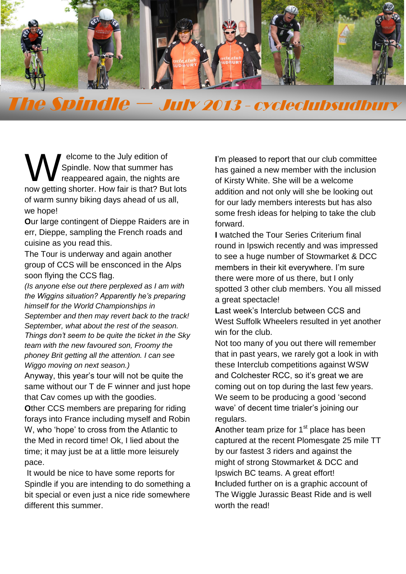

**The Spindle** The Spindle – July 2013 - cycleclubsudbury

elcome to the July edition of Spindle. Now that summer has reappeared again, the nights are now getting shorter. How fair is that? But lots of warm sunny biking days ahead of us all, we hope! W<sub>W</sub>

**O**ur large contingent of Dieppe Raiders are in err, Dieppe, sampling the French roads and cuisine as you read this.

The Tour is underway and again another group of CCS will be ensconced in the Alps soon flying the CCS flag.

*(Is anyone else out there perplexed as I am with the Wiggins situation? Apparently he's preparing himself for the World Championships in September and then may revert back to the track! September, what about the rest of the season. Things don't seem to be quite the ticket in the Sky team with the new favoured son, Froomy the phoney Brit getting all the attention. I can see Wiggo moving on next season.)*

Anyway, this year's tour will not be quite the same without our T de F winner and just hope that Cav comes up with the goodies.

**O**ther CCS members are preparing for riding forays into France including myself and Robin W, who 'hope' to cross from the Atlantic to the Med in record time! Ok, I lied about the time; it may just be at a little more leisurely pace.

It would be nice to have some reports for Spindle if you are intending to do something a bit special or even just a nice ride somewhere different this summer.

**I**'m pleased to report that our club committee has gained a new member with the inclusion of Kirsty White. She will be a welcome addition and not only will she be looking out for our lady members interests but has also some fresh ideas for helping to take the club forward.

**I** watched the Tour Series Criterium final round in Ipswich recently and was impressed to see a huge number of Stowmarket & DCC members in their kit everywhere. I'm sure there were more of us there, but I only spotted 3 other club members. You all missed a great spectacle!

**L**ast week's Interclub between CCS and West Suffolk Wheelers resulted in yet another win for the club.

Not too many of you out there will remember that in past years, we rarely got a look in with these Interclub competitions against WSW and Colchester RCC, so it's great we are coming out on top during the last few years. We seem to be producing a good 'second wave' of decent time trialer's joining our regulars.

**A**nother team prize for 1<sup>st</sup> place has been captured at the recent Plomesgate 25 mile TT by our fastest 3 riders and against the might of strong Stowmarket & DCC and Ipswich BC teams. A great effort! **I**ncluded further on is a graphic account of The Wiggle Jurassic Beast Ride and is well worth the read!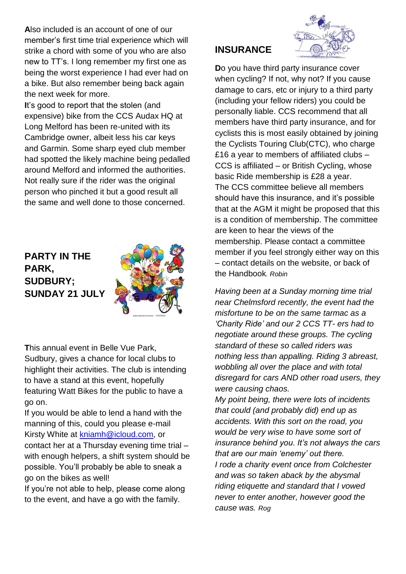**A**lso included is an account of one of our member's first time trial experience which will strike a chord with some of you who are also new to TT's. I long remember my first one as being the worst experience I had ever had on a bike. But also remember being back again the next week for more.

**I**t's good to report that the stolen (and expensive) bike from the CCS Audax HQ at Long Melford has been re-united with its Cambridge owner, albeit less his car keys and Garmin. Some sharp eyed club member had spotted the likely machine being pedalled around Melford and informed the authorities. Not really sure if the rider was the original person who pinched it but a good result all the same and well done to those concerned.

### **PARTY IN THE PARK, SUDBURY; SUNDAY 21 JULY**



**T**his annual event in Belle Vue Park, Sudbury, gives a chance for local clubs to highlight their activities. The club is intending to have a stand at this event, hopefully featuring Watt Bikes for the public to have a go on.

If you would be able to lend a hand with the manning of this, could you please e-mail Kirsty White at [kniamh@icloud.com,](mailto:kniamh@icloud.com) or contact her at a Thursday evening time trial – with enough helpers, a shift system should be possible. You'll probably be able to sneak a go on the bikes as well!

If you're not able to help, please come along to the event, and have a go with the family.

# **INSURANCE**



**D**o you have third party insurance cover when cycling? If not, why not? If you cause damage to cars, etc or injury to a third party (including your fellow riders) you could be personally liable. CCS recommend that all members have third party insurance, and for cyclists this is most easily obtained by joining the Cyclists Touring Club(CTC), who charge £16 a year to members of affiliated clubs – CCS is affiliated – or British Cycling, whose basic Ride membership is £28 a year. The CCS committee believe all members should have this insurance, and it's possible that at the AGM it might be proposed that this is a condition of membership. The committee are keen to hear the views of the membership. Please contact a committee member if you feel strongly either way on this – contact details on the website, or back of the Handbook*. Robin*

*Having been at a Sunday morning time trial near Chelmsford recently, the event had the misfortune to be on the same tarmac as a 'Charity Ride' and our 2 CCS TT- ers had to negotiate around these groups. The cycling standard of these so called riders was nothing less than appalling. Riding 3 abreast, wobbling all over the place and with total disregard for cars AND other road users, they were causing chaos.* 

*My point being, there were lots of incidents that could (and probably did) end up as accidents. With this sort on the road, you would be very wise to have some sort of insurance behind you. It's not always the cars that are our main 'enemy' out there. I rode a charity event once from Colchester and was so taken aback by the abysmal riding etiquette and standard that I vowed never to enter another, however good the cause was. Rog*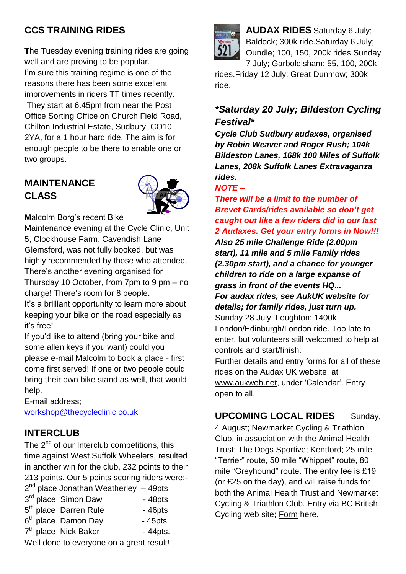### **CCS TRAINING RIDES**

**T**he Tuesday evening training rides are going well and are proving to be popular. I'm sure this training regime is one of the reasons there has been some excellent improvements in riders TT times recently. They start at 6.45pm from near the Post Office Sorting Office on Church Field Road, Chilton Industrial Estate, Sudbury, CO10 2YA, for a 1 hour hard ride. The aim is for enough people to be there to enable one or two groups.

### **MAINTENANCE CLASS**



**M**alcolm Borg's recent Bike

Maintenance evening at the Cycle Clinic, Unit 5, Clockhouse Farm, Cavendish Lane Glemsford, was not fully booked, but was highly recommended by those who attended. There's another evening organised for Thursday 10 October, from 7pm to 9 pm – no charge! There's room for 8 people.

It's a brilliant opportunity to learn more about keeping your bike on the road especially as it's free!

If you'd like to attend (bring your bike and some allen keys if you want) could you please e-mail Malcolm to book a place - first come first served! If one or two people could bring their own bike stand as well, that would help.

E-mail address; [workshop@thecycleclinic.co.uk](mailto:workshop@thecycleclinic.co.uk)

### **INTERCLUB**

The  $2^{nd}$  of our Interclub competitions, this time against West Suffolk Wheelers, resulted in another win for the club, 232 points to their 213 points. Our 5 points scoring riders were:-  $2nd \cdot$ 

| $2nd$ place Jonathan Weatherley $-49$ pts |            |  |  |  |  |  |
|-------------------------------------------|------------|--|--|--|--|--|
| 3rd place Simon Daw                       | $-48pts$   |  |  |  |  |  |
| 5 <sup>th</sup> place Darren Rule         | $-46$ pts  |  |  |  |  |  |
| 6 <sup>th</sup> place Damon Day           | $-45$ pts  |  |  |  |  |  |
| 7 <sup>th</sup> place Nick Baker          | $-44$ pts. |  |  |  |  |  |
| Well done to everyone on a great result!  |            |  |  |  |  |  |



**AUDAX RIDES** Saturday 6 July; Baldock; 300k ride.Saturday 6 July; Oundle; 100, 150, 200k rides.Sunday 7 July; Garboldisham; 55, 100, 200k

rides.Friday 12 July; Great Dunmow; 300k ride.

### *\*Saturday 20 July; Bildeston Cycling Festival\**

*Cycle Club Sudbury audaxes, organised by Robin Weaver and Roger Rush; 104k Bildeston Lanes, 168k 100 Miles of Suffolk Lanes, 208k Suffolk Lanes Extravaganza rides.*

### *NOTE –*

*There will be a limit to the number of Brevet Cards/rides available so don't get caught out like a few riders did in our last 2 Audaxes. Get your entry forms in Now!!! Also 25 mile Challenge Ride (2.00pm start), 11 mile and 5 mile Family rides (2.30pm start), and a chance for younger children to ride on a large expanse of grass in front of the events HQ... For audax rides, see AukUK website for details; for family rides, just turn up.* Sunday 28 July; Loughton; 1400k London/Edinburgh/London ride. Too late to enter, but volunteers still welcomed to help at controls and start/finish. Further details and entry forms for all of these rides on the Audax UK website, at [www.aukweb.net,](http://www.aukweb.net/index2.htm) under 'Calendar'. Entry open to all.

**UPCOMING LOCAL RIDES** Sunday,

4 August; Newmarket Cycling & Triathlon Club, in association with the Animal Health Trust; The Dogs Sportive; Kentford; 25 mile "Terrier" route, 50 mile "Whippet" route, 80 mile "Greyhound" route. The entry fee is £19 (or £25 on the day), and will raise funds for both the Animal Health Trust and Newmarket Cycling & Triathlon Club. Entry via BC British Cycling web site; [Form](https://t.co/Ya4X1pQl) here.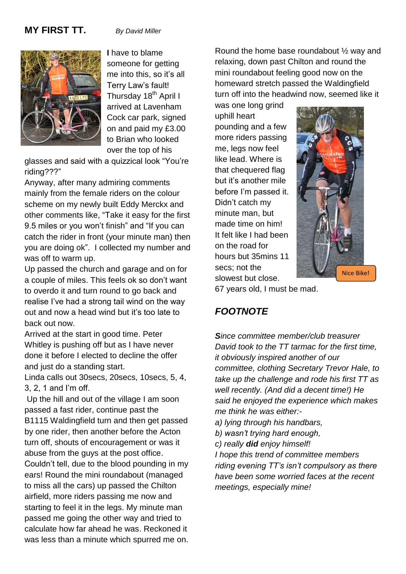### **MY FIRST TT.** *By David Miller*



**I** have to blame someone for getting me into this, so it's all Terry Law's fault! Thursday 18<sup>th</sup> April I arrived at Lavenham Cock car park, signed on and paid my £3.00 to Brian who looked over the top of his

glasses and said with a quizzical look "You're riding???"

Anyway, after many admiring comments mainly from the female riders on the colour scheme on my newly built Eddy Merckx and other comments like, "Take it easy for the first 9.5 miles or you won't finish" and "If you can catch the rider in front (your minute man) then you are doing ok". I collected my number and was off to warm up.

Up passed the church and garage and on for a couple of miles. This feels ok so don't want to overdo it and turn round to go back and realise I've had a strong tail wind on the way out and now a head wind but it's too late to back out now.

Arrived at the start in good time. Peter Whitley is pushing off but as I have never done it before I elected to decline the offer and just do a standing start.

Linda calls out 30secs, 20secs, 10secs, 5, 4, 3, 2, 1 and I'm off.

Up the hill and out of the village I am soon passed a fast rider, continue past the B1115 Waldingfield turn and then get passed by one rider, then another before the Acton turn off, shouts of encouragement or was it abuse from the guys at the post office. Couldn't tell, due to the blood pounding in my ears! Round the mini roundabout (managed to miss all the cars) up passed the Chilton airfield, more riders passing me now and starting to feel it in the legs. My minute man passed me going the other way and tried to calculate how far ahead he was. Reckoned it was less than a minute which spurred me on.

Round the home base roundabout ½ way and relaxing, down past Chilton and round the mini roundabout feeling good now on the homeward stretch passed the Waldingfield turn off into the headwind now, seemed like it

was one long grind uphill heart pounding and a few more riders passing me, legs now feel like lead. Where is that chequered flag but it's another mile before I'm passed it. Didn't catch my minute man, but made time on him! It felt like I had been on the road for hours but 35mins 11 secs; not the slowest but close.



67 years old, I must be mad.

### *FOOTNOTE*

*Since committee member/club treasurer David took to the TT tarmac for the first time, it obviously inspired another of our committee, clothing Secretary Trevor Hale, to take up the challenge and rode his first TT as well recently. (And did a decent time!) He said he enjoyed the experience which makes me think he was either:-*

- *a) lying through his handbars,*
- *b) wasn't trying hard enough,*
- *c) really did enjoy himself!*

*I hope this trend of committee members riding evening TT's isn't compulsory as there have been some worried faces at the recent meetings, especially mine!*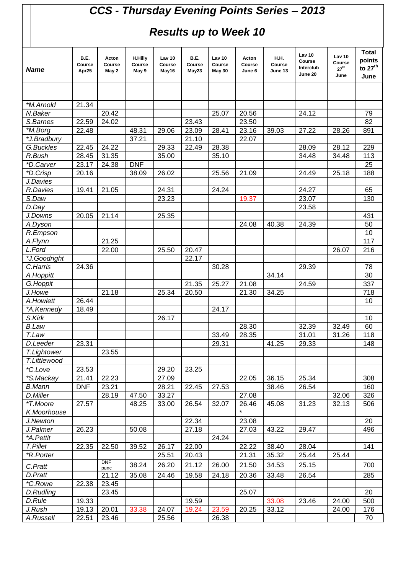# *CCS - Thursday Evening Points Series – 2013*

## *Results up to Week 10*

| <b>Name</b>             | B.E.<br>Course<br>Apr25 | Acton<br>Course<br>May 2 | H.Hilly<br>Course<br>May 9 | Lav 10<br>Course<br>May16 | B.E.<br>Course<br>May23 | Lav 10<br>Course<br><b>May 30</b> | Acton<br>Course<br>June 6 | <b>H.H.</b><br>Course<br>June 13 | <b>Lav 10</b><br>Course<br>Interclub<br>June 20 | <b>Lav 10</b><br>Course<br>$27^{\text{th}}$<br>June | <b>Total</b><br>points<br>to 27 <sup>th</sup><br>June |
|-------------------------|-------------------------|--------------------------|----------------------------|---------------------------|-------------------------|-----------------------------------|---------------------------|----------------------------------|-------------------------------------------------|-----------------------------------------------------|-------------------------------------------------------|
|                         |                         |                          |                            |                           |                         |                                   |                           |                                  |                                                 |                                                     |                                                       |
| *M.Arnold               | 21.34                   |                          |                            |                           |                         |                                   |                           |                                  |                                                 |                                                     |                                                       |
| N.Baker                 |                         | 20.42                    |                            |                           |                         | 25.07                             | 20.56                     |                                  | 24.12                                           |                                                     | 79                                                    |
| S.Barnes                | 22.59                   | 24.02                    |                            |                           | 23.43                   |                                   | 23.50                     |                                  |                                                 |                                                     | 82                                                    |
| *M.Borg                 | 22.48                   |                          | 48.31                      | 29.06                     | 23.09                   | 28.41                             | 23.16                     | 39.03                            | 27.22                                           | 28.26                                               | 891                                                   |
| *J.Bradbury             |                         |                          | 37.21                      |                           | 21.10                   |                                   | 22.07                     |                                  |                                                 |                                                     |                                                       |
| G.Buckles               | 22.45                   | 24.22                    |                            | 29.33                     | 22.49                   | 28.38                             |                           |                                  | 28.09                                           | 28.12                                               | 229                                                   |
| R.Bush                  | 28.45                   | 31.35                    |                            | 35.00                     |                         | 35.10                             |                           |                                  | 34.48                                           | 34.48                                               | 113                                                   |
| *D.Carver               | 23.17                   | 24.38                    | <b>DNF</b>                 |                           |                         |                                   |                           |                                  |                                                 |                                                     | 25                                                    |
| *D.Crisp                | 20.16                   |                          | 38.09                      | 26.02                     |                         | 25.56                             | 21.09                     |                                  | 24.49                                           | 25.18                                               | 188                                                   |
| J.Davies                |                         |                          |                            |                           |                         |                                   |                           |                                  |                                                 |                                                     |                                                       |
| R.Davies                | 19.41                   | 21.05                    |                            | 24.31                     |                         | 24.24                             |                           |                                  | 24.27                                           |                                                     | 65                                                    |
| S.Daw                   |                         |                          |                            | 23.23                     |                         |                                   | 19.37                     |                                  | 23.07                                           |                                                     | 130                                                   |
| D.Day                   |                         |                          |                            |                           |                         |                                   |                           |                                  | 23.58                                           |                                                     |                                                       |
| J.Downs                 | 20.05                   | 21.14                    |                            | 25.35                     |                         |                                   |                           |                                  |                                                 |                                                     | 431                                                   |
| A.Dyson                 |                         |                          |                            |                           |                         |                                   | 24.08                     | 40.38                            | 24.39                                           |                                                     | 50                                                    |
| R.Empson                |                         |                          |                            |                           |                         |                                   |                           |                                  |                                                 |                                                     | 10                                                    |
| A.Flynn                 |                         | 21.25                    |                            |                           |                         |                                   |                           |                                  |                                                 |                                                     | $\overline{117}$                                      |
| L.Ford                  |                         | 22.00                    |                            | 25.50                     | 20.47                   |                                   |                           |                                  |                                                 | 26.07                                               | 216                                                   |
| *J.Goodright            |                         |                          |                            |                           | 22.17                   |                                   |                           |                                  |                                                 |                                                     |                                                       |
| C.Harris                | 24.36                   |                          |                            |                           |                         | 30.28                             |                           |                                  | 29.39                                           |                                                     | 78                                                    |
| A.Hoppitt               |                         |                          |                            |                           |                         |                                   |                           | 34.14                            |                                                 |                                                     | 30                                                    |
| G.Hoppit                |                         |                          |                            |                           | 21.35                   | 25.27                             | 21.08                     |                                  | 24.59                                           |                                                     | 337                                                   |
| J.Howe                  |                         | 21.18                    |                            | 25.34                     | 20.50                   |                                   | 21.30                     | 34.25                            |                                                 |                                                     | 718                                                   |
| A.Howlett               | 26.44                   |                          |                            |                           |                         |                                   |                           |                                  |                                                 |                                                     | 10                                                    |
| *A.Kennedy              | 18.49                   |                          |                            |                           |                         | 24.17                             |                           |                                  |                                                 |                                                     |                                                       |
| S.Kirk                  |                         |                          |                            | 26.17                     |                         |                                   |                           |                                  |                                                 |                                                     | 10                                                    |
| <b>B.Law</b>            |                         |                          |                            |                           |                         |                                   | 28.30                     |                                  | 32.39                                           | 32.49                                               | 60                                                    |
| T.Law                   |                         |                          |                            |                           |                         | 33.49                             | 28.35                     |                                  | 31.01                                           | 31.26                                               | 118                                                   |
| D.Leeder                | 23.31                   |                          |                            |                           |                         | 29.31                             |                           | 41.25                            | 29.33                                           |                                                     | 148                                                   |
| T.Lightower             |                         | 23.55                    |                            |                           |                         |                                   |                           |                                  |                                                 |                                                     |                                                       |
| T.Littlewood            |                         |                          |                            |                           |                         |                                   |                           |                                  |                                                 |                                                     |                                                       |
| *C.Love                 | 23.53                   |                          |                            | 29.20                     | 23.25                   |                                   |                           |                                  |                                                 |                                                     |                                                       |
| *S.Mackay               | 21.41                   | 22.23                    |                            | 27.09                     |                         |                                   | 22.05                     | 36.15                            | 25.34                                           |                                                     | 308                                                   |
| <b>B.Mann</b>           | <b>DNF</b>              | 23.21                    |                            | 28.21                     | 22.45                   | 27.53                             |                           | 38.46                            | 26.54                                           |                                                     | 160                                                   |
| D.Miller                |                         | 28.19                    | 47.50                      | 33.27                     |                         |                                   | 27.08                     |                                  |                                                 | 32.06                                               | 326                                                   |
| *T.Moore                | 27.57                   |                          | 48.25                      | 33.00                     | 26.54                   | 32.07                             | 26.46                     | 45.08                            | 31.23                                           | 32.13                                               | 506                                                   |
| K.Moorhouse             |                         |                          |                            |                           |                         |                                   |                           |                                  |                                                 |                                                     |                                                       |
| J.Newton                |                         |                          |                            |                           | 22.34                   |                                   | 23.08                     |                                  |                                                 |                                                     | 20                                                    |
| J.Palmer                | 26.23                   |                          | 50.08                      |                           | 27.18                   |                                   | 27.03                     | 43.22                            | 29.47                                           |                                                     | 496                                                   |
| *A.Pettit               |                         |                          |                            |                           |                         | 24.24                             |                           |                                  |                                                 |                                                     |                                                       |
| T.Pillet                | 22.35                   | 22.50                    | 39.52                      | 26.17                     | 22.00                   |                                   | 22.22                     | 38.40                            | 28.04                                           |                                                     | 141                                                   |
| <i><b>*R.Porter</b></i> |                         |                          |                            | 25.51                     | 20.43                   |                                   | 21.31                     | 35.32                            | 25.44                                           | 25.44                                               |                                                       |
| C.Pratt                 |                         | DNF<br>punc              | 38.24                      | 26.20                     | 21.12                   | 26.00                             | 21.50                     | 34.53                            | 25.15                                           |                                                     | 700                                                   |
| D.Pratt                 |                         | 21.12                    | 35.08                      | 24.46                     | 19.58                   | 24.18                             | 20.36                     | 33.48                            | 26.54                                           |                                                     | 285                                                   |
| *C.Rowe                 | 22.38                   | 23.45                    |                            |                           |                         |                                   |                           |                                  |                                                 |                                                     |                                                       |
| D.Rudling               |                         | 23.45                    |                            |                           |                         |                                   | 25.07                     |                                  |                                                 |                                                     | 20                                                    |
| D.Rule                  | 19.33                   |                          |                            |                           | 19.59                   |                                   |                           | 33.08                            | 23.46                                           | 24.00                                               | 500                                                   |
| J.Rush                  | 19.13                   | 20.01                    | 33.38                      | 24.07                     | 19.24                   | 23.59                             | 20.25                     | 33.12                            |                                                 | 24.00                                               | 176                                                   |
| A.Russell               | 22.51                   | 23.46                    |                            | 25.56                     |                         | 26.38                             |                           |                                  |                                                 |                                                     | 70                                                    |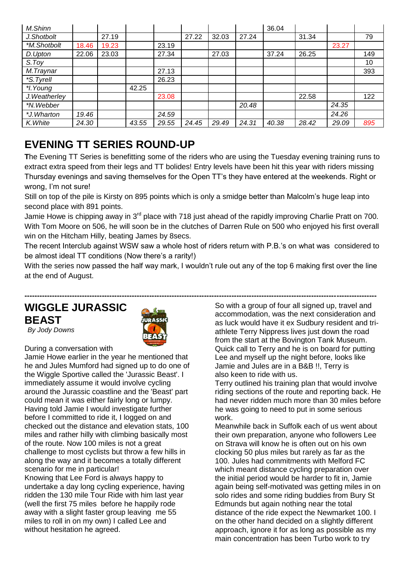| M.Shinn       |       |       |       |       |       |       |       | 36.04 |       |       |     |
|---------------|-------|-------|-------|-------|-------|-------|-------|-------|-------|-------|-----|
| J.Shotbolt    |       | 27.19 |       |       | 27.22 | 32.03 | 27.24 |       | 31.34 |       | 79  |
| *M.Shotbolt   | 18.46 | 19.23 |       | 23.19 |       |       |       |       |       | 23.27 |     |
| D.Upton       | 22.06 | 23.03 |       | 27.34 |       | 27.03 |       | 37.24 | 26.25 |       | 149 |
| S. Toy        |       |       |       |       |       |       |       |       |       |       | 10  |
| M.Traynar     |       |       |       | 27.13 |       |       |       |       |       |       | 393 |
| *S. Tyrell    |       |       |       | 26.23 |       |       |       |       |       |       |     |
| *I. Young     |       |       | 42.25 |       |       |       |       |       |       |       |     |
| J. Weatherley |       |       |       | 23.08 |       |       |       |       | 22.58 |       | 122 |
| *N.Webber     |       |       |       |       |       |       | 20.48 |       |       | 24.35 |     |
| *J.Wharton    | 19.46 |       |       | 24.59 |       |       |       |       |       | 24.26 |     |
| K. White      | 24.30 |       | 43.55 | 29.55 | 24.45 | 29.49 | 24.31 | 40.38 | 28.42 | 29.09 | 895 |

## **EVENING TT SERIES ROUND-UP**

**T**he Evening TT Series is benefitting some of the riders who are using the Tuesday evening training runs to extract extra speed from their legs and TT bolides! Entry levels have been hit this year with riders missing Thursday evenings and saving themselves for the Open TT's they have entered at the weekends. Right or wrong, I'm not sure!

Still on top of the pile is Kirsty on 895 points which is only a smidge better than Malcolm's huge leap into second place with 891 points.

Jamie Howe is chipping away in 3<sup>rd</sup> place with 718 just ahead of the rapidly improving Charlie Pratt on 700. With Tom Moore on 506, he will soon be in the clutches of Darren Rule on 500 who enjoyed his first overall win on the Hitcham Hilly, beating James by 8secs.

The recent Interclub against WSW saw a whole host of riders return with P.B.'s on what was considered to be almost ideal TT conditions (Now there's a rarity!)

With the series now passed the half way mark, I wouldn't rule out any of the top 6 making first over the line at the end of August.

**---------------------------------------------------------------------------------------------------------------------------------------------**

## **WIGGLE JURASSIC BEAST**



*By Jody Downs*

During a conversation with

Jamie Howe earlier in the year he mentioned that he and Jules Mumford had signed up to do one of the Wiggle Sportive called the 'Jurassic Beast'. I immediately assume it would involve cycling around the Jurassic coastline and the 'Beast' part could mean it was either fairly long or lumpy. Having told Jamie I would investigate further before I committed to ride it, I logged on and checked out the distance and elevation stats, 100 miles and rather hilly with climbing basically most of the route. Now 100 miles is not a great challenge to most cyclists but throw a few hills in along the way and it becomes a totally different scenario for me in particular! Knowing that Lee Ford is always happy to undertake a day long cycling experience, having

ridden the 130 mile Tour Ride with him last year (well the first 75 miles before he happily rode away with a slight faster group leaving me 55 miles to roll in on my own) I called Lee and without hesitation he agreed.

So with a group of four all signed up, travel and accommodation, was the next consideration and as luck would have it ex Sudbury resident and triathlete Terry Nippress lives just down the road from the start at the Bovington Tank Museum. Quick call to Terry and he is on board for putting Lee and myself up the night before, looks like Jamie and Jules are in a B&B !!, Terry is also keen to ride with us.

Terry outlined his training plan that would involve riding sections of the route and reporting back. He had never ridden much more than 30 miles before he was going to need to put in some serious work.

Meanwhile back in Suffolk each of us went about their own preparation, anyone who followers Lee on Strava will know he is often out on his own clocking 50 plus miles but rarely as far as the 100. Jules had commitments with Melford FC which meant distance cycling preparation over the initial period would be harder to fit in, Jamie again being self-motivated was getting miles in on solo rides and some riding buddies from Bury St Edmunds but again nothing near the total distance of the ride expect the Newmarket 100. I on the other hand decided on a slightly different approach, ignore it for as long as possible as my main concentration has been Turbo work to try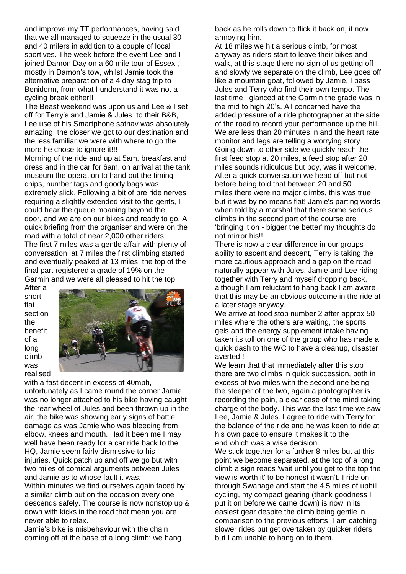and improve my TT performances, having said that we all managed to squeeze in the usual 30 and 40 milers in addition to a couple of local sportives. The week before the event Lee and I joined Damon Day on a 60 mile tour of Essex, mostly in Damon's tow, whilst Jamie took the alternative preparation of a 4 day stag trip to Benidorm, from what I understand it was not a cycling break either!!

The Beast weekend was upon us and Lee & I set off for Terry's and Jamie & Jules to their B&B, Lee use of his Smartphone satnav was absolutely amazing, the closer we got to our destination and the less familiar we were with where to go the more he chose to ignore it!!!

Morning of the ride and up at 5am, breakfast and dress and in the car for 6am, on arrival at the tank museum the operation to hand out the timing chips, number tags and goody bags was extremely slick. Following a bit of pre ride nerves requiring a slightly extended visit to the gents, I could hear the queue moaning beyond the door, and we are on our bikes and ready to go. A quick briefing from the organiser and were on the road with a total of near 2,000 other riders. The first 7 miles was a gentle affair with plenty of conversation, at 7 miles the first climbing started and eventually peaked at 13 miles, the top of the final part registered a grade of 19% on the Garmin and we were all pleased to hit the top.

After a short flat section the benefit of a long climb was realised



with a fast decent in excess of 40mph, unfortunately as I came round the corner Jamie was no longer attached to his bike having caught the rear wheel of Jules and been thrown up in the air, the bike was showing early signs of battle damage as was Jamie who was bleeding from elbow, knees and mouth. Had it been me I may well have been ready for a car ride back to the HQ, Jamie seem fairly dismissive to his injuries. Quick patch up and off we go but with two miles of comical arguments between Jules and Jamie as to whose fault it was.

Within minutes we find ourselves again faced by a similar climb but on the occasion every one descends safely. The course is now nonstop up & down with kicks in the road that mean you are never able to relax.

Jamie's bike is misbehaviour with the chain coming off at the base of a long climb; we hang

back as he rolls down to flick it back on, it now annoying him.

At 18 miles we hit a serious climb, for most anyway as riders start to leave their bikes and walk, at this stage there no sign of us getting off and slowly we separate on the climb, Lee goes off like a mountain goat, followed by Jamie, I pass Jules and Terry who find their own tempo. The last time I glanced at the Garmin the grade was in the mid to high 20's. All concerned have the added pressure of a ride photographer at the side of the road to record your performance up the hill. We are less than 20 minutes in and the heart rate monitor and legs are telling a worrying story. Going down to other side we quickly reach the first feed stop at 20 miles, a feed stop after 20 miles sounds ridiculous but boy, was it welcome. After a quick conversation we head off but not before being told that between 20 and 50 miles there were no major climbs, this was true but it was by no means flat! Jamie's parting words when told by a marshal that there some serious climbs in the second part of the course are 'bringing it on - bigger the better' my thoughts do not mirror his!!

There is now a clear difference in our groups ability to ascent and descent, Terry is taking the more cautious approach and a gap on the road naturally appear with Jules, Jamie and Lee riding together with Terry and myself dropping back, although I am reluctant to hang back I am aware that this may be an obvious outcome in the ride at a later stage anyway.

We arrive at food stop number 2 after approx 50 miles where the others are waiting, the sports gels and the energy supplement intake having taken its toll on one of the group who has made a quick dash to the WC to have a cleanup, disaster averted!!

We learn that that immediately after this stop there are two climbs in quick succession, both in excess of two miles with the second one being the steeper of the two, again a photographer is recording the pain, a clear case of the mind taking charge of the body. This was the last time we saw Lee, Jamie & Jules. I agree to ride with Terry for the balance of the ride and he was keen to ride at his own pace to ensure it makes it to the end which was a wise decision.

We stick together for a further 8 miles but at this point we become separated, at the top of a long climb a sign reads 'wait until you get to the top the view is worth it' to be honest it wasn't. I ride on through Swanage and start the 4.5 miles of uphill cycling, my compact gearing (thank goodness I put it on before we came down) is now in its easiest gear despite the climb being gentle in comparison to the previous efforts. I am catching slower rides but get overtaken by quicker riders but I am unable to hang on to them.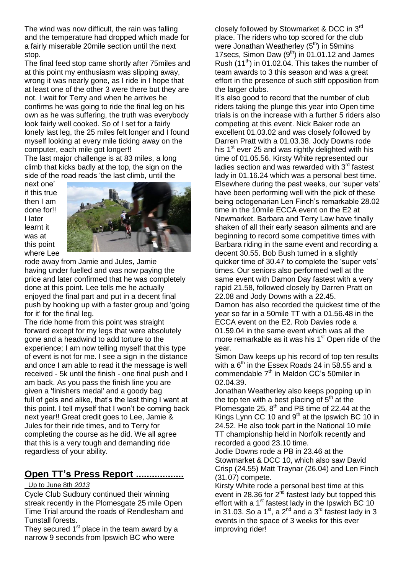The wind was now difficult, the rain was falling and the temperature had dropped which made for a fairly miserable 20mile section until the next stop.

The final feed stop came shortly after 75miles and at this point my enthusiasm was slipping away, wrong it was nearly gone, as I ride in I hope that at least one of the other 3 were there but they are not. I wait for Terry and when he arrives he confirms he was going to ride the final leg on his own as he was suffering, the truth was everybody look fairly well cooked. So of I set for a fairly lonely last leg, the 25 miles felt longer and I found myself looking at every mile ticking away on the computer, each mile got longer!!

The last major challenge is at 83 miles, a long climb that kicks badly at the top, the sign on the side of the road reads 'the last climb, until the

next one' if this true then I am done for!! I later learnt it was at this point where Lee



rode away from Jamie and Jules, Jamie having under fuelled and was now paying the price and later confirmed that he was completely done at this point. Lee tells me he actually enjoyed the final part and put in a decent final push by hooking up with a faster group and 'going for it' for the final leg.

The ride home from this point was straight forward except for my legs that were absolutely gone and a headwind to add torture to the experience; I am now telling myself that this type of event is not for me. I see a sign in the distance and once I am able to read it the message is well received - 5k until the finish - one final push and I am back. As you pass the finish line you are given a 'finishers medal' and a goody bag full of gels and alike, that's the last thing I want at this point. I tell myself that I won't be coming back next year!! Great credit goes to Lee, Jamie & Jules for their ride times, and to Terry for completing the course as he did. We all agree that this is a very tough and demanding ride regardless of your ability.

### **Open TT's Press Report ..................**

### Up to June 8th *2013*

Cycle Club Sudbury continued their winning streak recently in the Plomesgate 25 mile Open Time Trial around the roads of Rendlesham and Tunstall forests.

They secured  $1<sup>st</sup>$  place in the team award by a narrow 9 seconds from Ipswich BC who were

closely followed by Stowmarket & DCC in 3rd place. The riders who top scored for the club were Jonathan Weatherley  $(5<sup>th</sup>)$  in 59mins 17 secs, Simon Daw  $(9<sup>th</sup>)$  in 01.01.12 and James Rush  $(11<sup>th</sup>)$  in 01.02.04. This takes the number of team awards to 3 this season and was a great effort in the presence of such stiff opposition from the larger clubs.

It's also good to record that the number of club riders taking the plunge this year into Open time trials is on the increase with a further 5 riders also competing at this event. Nick Baker rode an excellent 01.03.02 and was closely followed by Darren Pratt with a 01.03.38. Jody Downs rode his  $1<sup>st</sup>$  ever 25 and was rightly delighted with his time of 01.05.56. Kirsty White represented our ladies section and was rewarded with  $3<sup>rd</sup>$  fastest lady in 01.16.24 which was a personal best time. Elsewhere during the past weeks, our 'super vets' have been performing well with the pick of these being octogenarian Len Finch's remarkable 28.02 time in the 10mile ECCA event on the E2 at Newmarket. Barbara and Terry Law have finally shaken of all their early season ailments and are beginning to record some competitive times with Barbara riding in the same event and recording a decent 30.55. Bob Bush turned in a slightly quicker time of 30.47 to complete the 'super vets' times. Our seniors also performed well at the same event with Damon Day fastest with a very rapid 21.58, followed closely by Darren Pratt on 22.08 and Jody Downs with a 22.45. Damon has also recorded the quickest time of the year so far in a 50mile TT with a 01.56.48 in the ECCA event on the E2. Rob Davies rode a 01.59.04 in the same event which was all the more remarkable as it was his  $1<sup>st</sup>$  Open ride of the year.

Simon Daw keeps up his record of top ten results with a  $6<sup>th</sup>$  in the Essex Roads 24 in 58.55 and a commendable  $7<sup>th</sup>$  in Maldon CC's 50miler in 02.04.39.

Jonathan Weatherley also keeps popping up in the top ten with a best placing of  $5<sup>th</sup>$  at the Plomesgate 25,  $8<sup>th</sup>$  and PB time of 22.44 at the Kings Lynn CC 10 and  $9<sup>th</sup>$  at the Ipswich BC 10 in 24.52. He also took part in the National 10 mile TT championship held in Norfolk recently and recorded a good 23.10 time.

Jodie Downs rode a PB in 23.46 at the Stowmarket & DCC 10, which also saw David Crisp (24.55) Matt Traynar (26.04) and Len Finch (31.07) compete.

Kirsty White rode a personal best time at this event in 28.36 for  $2^{nd}$  fastest lady but topped this effort with a  $1<sup>st</sup>$  fastest lady in the Ipswich BC 10 in 31.03. So a 1<sup>st</sup>, a 2<sup>nd</sup> and a 3<sup>rd</sup> fastest lady in 3 events in the space of 3 weeks for this ever improving rider!